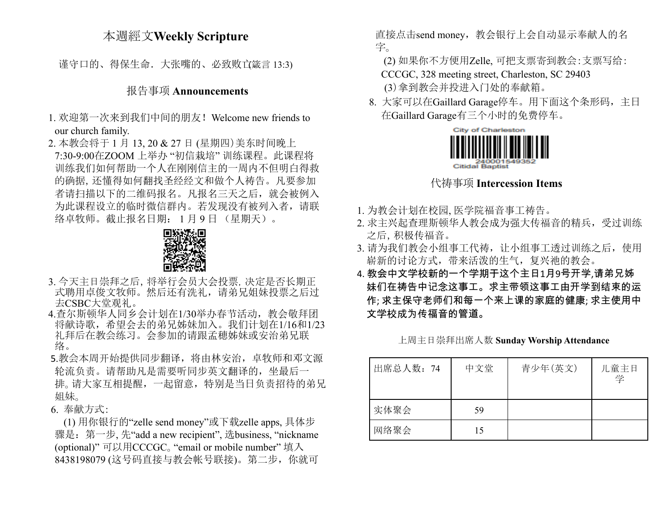## 本週經文**Weekly Scripture**

谨守口的、得保生命. 大张嘴的、必致败立箴言 13:3)

#### 报告事项 **Announcements**

- 1. 欢迎第一次来到我们中间的朋友!Welcome new friends to our church family.
- 2. 本教会将于 1 月 13, 20 & 27 日 (星期四)美东时间晚上 7:30-9:00在ZOOM 上举办 "初信栽培" 训练课程。此课程将 训练我们如何帮助一个人在刚刚信主的一周内不但明白得救 的确据,还懂得如何翻找圣经经文和做个人祷告。凡要参加 者请扫描以下的二维码报名。凡报名三天之后,就会被例入 为此课程设立的临时微信群内。若发现没有被列入者,请联 络卓牧师。截止报名日期: 1 月 9 日 (星期天)。



- 3. 今天主日崇拜之后,将举行会员大会投票,决定是否长期正 式聘用卓俊文牧师。然后还有洗礼,请弟兄姐妹投票之后过 去CSBC大堂观礼。
- 4.查尔斯顿华人同乡会计划在1/30举办春节活动,教会敬拜团 将献诗歌,希望会去的弟兄姊妹加入。我们计划在1/16和1/23 礼拜后在教会练习。会参加的请跟孟穂姊妹或安治弟兄联 络。
- 5.教会本周开始提供同步翻译,将由林安治,卓牧师和邓文源 轮流负责。请帮助凡是需要听同步英文翻译的,坐最后一 排。请大家互相提醒,一起留意,特别是当日负责招待的弟兄 姐妹。
- 6. 奉献方式:

(1) 用你银行的"zelle send money"或下载zelle apps, 具体步 骤是:第一步, 先"add a new recipient", 选business, "nickname (optional)" 可以用CCCGC。"email or mobile number" 填入 8438198079 (这号码直接与教会帐号联接)。第二步,你就可

直接点击send money, 教会银行上会自动显示奉献人的名 字。

(2) 如果你不方便用Zelle, 可把支票寄到教会:支票写给:

CCCGC, 328 meeting street, Charleston, SC 29403

(3)拿到教会并投进入门处的奉献箱。

8. 大家可以在Gaillard Garage停车。用下面这个条形码,主日 在Gaillard Garage有三个小时的免费停车。



### 代祷事项 **Intercession Items**

- 1. 为教会计划在校园, 医学院福音事工祷告。
- 2. 求主兴起查理斯顿华人教会成为强大传福音的精兵,受过训练 之后,积极传福音。
- 3. 请为我们教会小组事工代祷,让小组事工透过训练之后,使用 崭新的讨论方式,带来活泼的生气,复兴祂的教会。
- 4. 教会中文学校新的一个学期于这个主日1月9号开学,请弟兄姊 妹们在祷告中记念这事工。求主带领这事工由开学到结束的运 作; 求主保守老师们和每一个来上课的家庭的健康; 求主使用中 文学校成为传福音的管道。

上周主日崇拜出席人数 **Sunday Worship Attendance**

| 出席总人数: 74 | 中文堂 | 青少年(英文) | 儿童主日<br>学 |
|-----------|-----|---------|-----------|
| 实体聚会      | 59  |         |           |
| 网络聚会      | 15  |         |           |